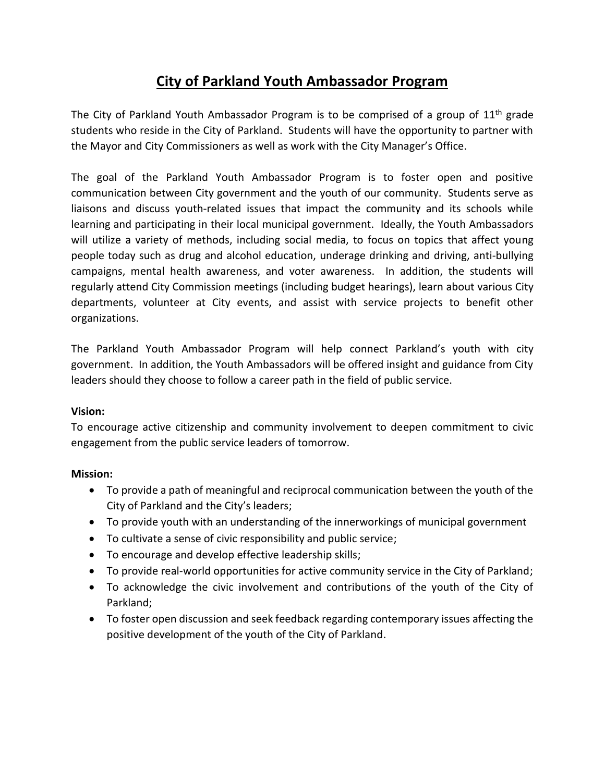# **City of Parkland Youth Ambassador Program**

The City of Parkland Youth Ambassador Program is to be comprised of a group of 11<sup>th</sup> grade students who reside in the City of Parkland. Students will have the opportunity to partner with the Mayor and City Commissioners as well as work with the City Manager's Office.

The goal of the Parkland Youth Ambassador Program is to foster open and positive communication between City government and the youth of our community. Students serve as liaisons and discuss youth-related issues that impact the community and its schools while learning and participating in their local municipal government. Ideally, the Youth Ambassadors will utilize a variety of methods, including social media, to focus on topics that affect young people today such as drug and alcohol education, underage drinking and driving, anti-bullying campaigns, mental health awareness, and voter awareness. In addition, the students will regularly attend City Commission meetings (including budget hearings), learn about various City departments, volunteer at City events, and assist with service projects to benefit other organizations.

The Parkland Youth Ambassador Program will help connect Parkland's youth with city government. In addition, the Youth Ambassadors will be offered insight and guidance from City leaders should they choose to follow a career path in the field of public service.

## **Vision:**

To encourage active citizenship and community involvement to deepen commitment to civic engagement from the public service leaders of tomorrow.

## **Mission:**

- To provide a path of meaningful and reciprocal communication between the youth of the City of Parkland and the City's leaders;
- To provide youth with an understanding of the innerworkings of municipal government
- To cultivate a sense of civic responsibility and public service;
- To encourage and develop effective leadership skills;
- To provide real-world opportunities for active community service in the City of Parkland;
- To acknowledge the civic involvement and contributions of the youth of the City of Parkland;
- To foster open discussion and seek feedback regarding contemporary issues affecting the positive development of the youth of the City of Parkland.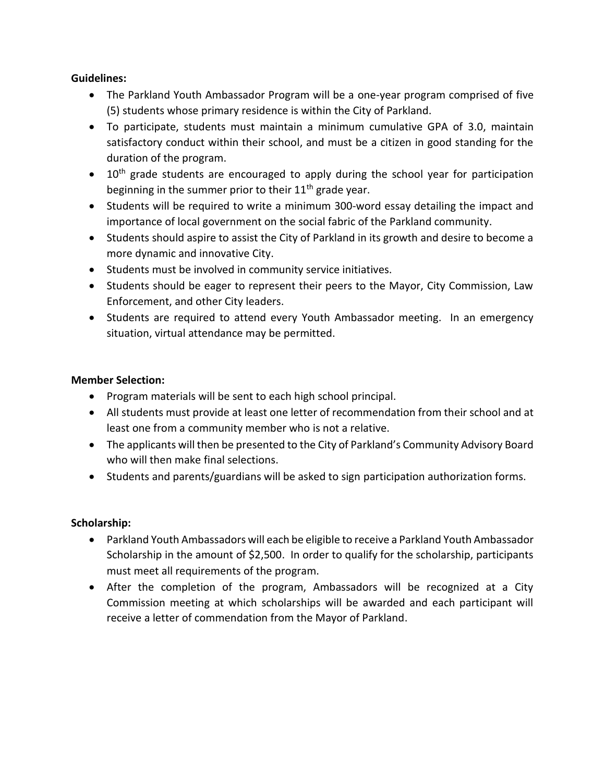#### **Guidelines:**

- The Parkland Youth Ambassador Program will be a one-year program comprised of five (5) students whose primary residence is within the City of Parkland.
- To participate, students must maintain a minimum cumulative GPA of 3.0, maintain satisfactory conduct within their school, and must be a citizen in good standing for the duration of the program.
- 10<sup>th</sup> grade students are encouraged to apply during the school year for participation beginning in the summer prior to their  $11<sup>th</sup>$  grade year.
- Students will be required to write a minimum 300-word essay detailing the impact and importance of local government on the social fabric of the Parkland community.
- Students should aspire to assist the City of Parkland in its growth and desire to become a more dynamic and innovative City.
- Students must be involved in community service initiatives.
- Students should be eager to represent their peers to the Mayor, City Commission, Law Enforcement, and other City leaders.
- Students are required to attend every Youth Ambassador meeting. In an emergency situation, virtual attendance may be permitted.

#### **Member Selection:**

- Program materials will be sent to each high school principal.
- All students must provide at least one letter of recommendation from their school and at least one from a community member who is not a relative.
- The applicants will then be presented to the City of Parkland's Community Advisory Board who will then make final selections.
- Students and parents/guardians will be asked to sign participation authorization forms.

## **Scholarship:**

- Parkland Youth Ambassadors will each be eligible to receive a Parkland Youth Ambassador Scholarship in the amount of \$2,500. In order to qualify for the scholarship, participants must meet all requirements of the program.
- After the completion of the program, Ambassadors will be recognized at a City Commission meeting at which scholarships will be awarded and each participant will receive a letter of commendation from the Mayor of Parkland.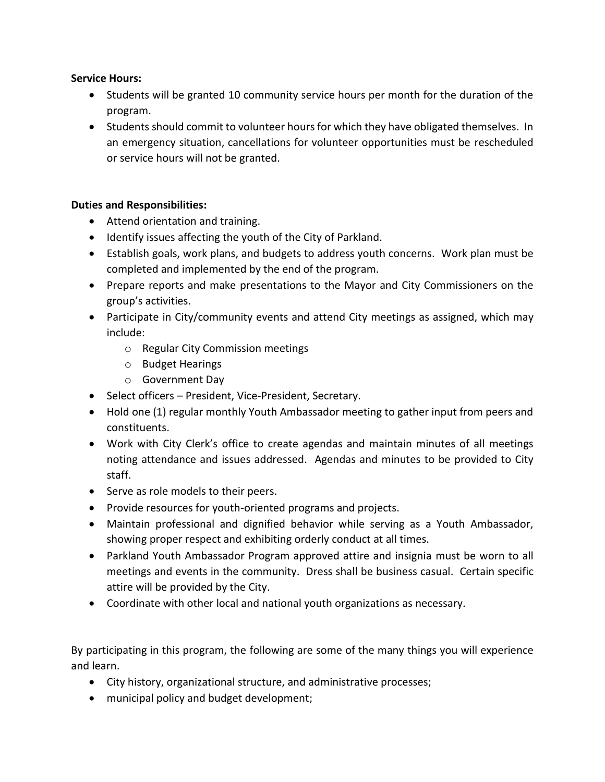#### **Service Hours:**

- Students will be granted 10 community service hours per month for the duration of the program.
- Students should commit to volunteer hours for which they have obligated themselves. In an emergency situation, cancellations for volunteer opportunities must be rescheduled or service hours will not be granted.

#### **Duties and Responsibilities:**

- Attend orientation and training.
- Identify issues affecting the youth of the City of Parkland.
- Establish goals, work plans, and budgets to address youth concerns. Work plan must be completed and implemented by the end of the program.
- Prepare reports and make presentations to the Mayor and City Commissioners on the group's activities.
- Participate in City/community events and attend City meetings as assigned, which may include:
	- o Regular City Commission meetings
	- o Budget Hearings
	- o Government Day
- Select officers President, Vice-President, Secretary.
- Hold one (1) regular monthly Youth Ambassador meeting to gather input from peers and constituents.
- Work with City Clerk's office to create agendas and maintain minutes of all meetings noting attendance and issues addressed. Agendas and minutes to be provided to City staff.
- Serve as role models to their peers.
- Provide resources for youth-oriented programs and projects.
- Maintain professional and dignified behavior while serving as a Youth Ambassador, showing proper respect and exhibiting orderly conduct at all times.
- Parkland Youth Ambassador Program approved attire and insignia must be worn to all meetings and events in the community. Dress shall be business casual. Certain specific attire will be provided by the City.
- Coordinate with other local and national youth organizations as necessary.

By participating in this program, the following are some of the many things you will experience and learn.

- City history, organizational structure, and administrative processes;
- municipal policy and budget development;